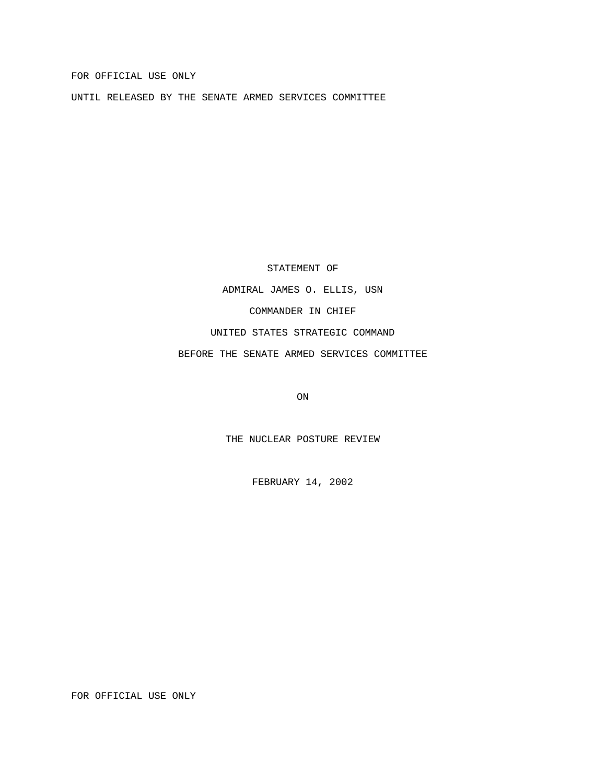FOR OFFICIAL USE ONLY

UNTIL RELEASED BY THE SENATE ARMED SERVICES COMMITTEE

STATEMENT OF

ADMIRAL JAMES O. ELLIS, USN COMMANDER IN CHIEF UNITED STATES STRATEGIC COMMAND BEFORE THE SENATE ARMED SERVICES COMMITTEE

ON

THE NUCLEAR POSTURE REVIEW

FEBRUARY 14, 2002

FOR OFFICIAL USE ONLY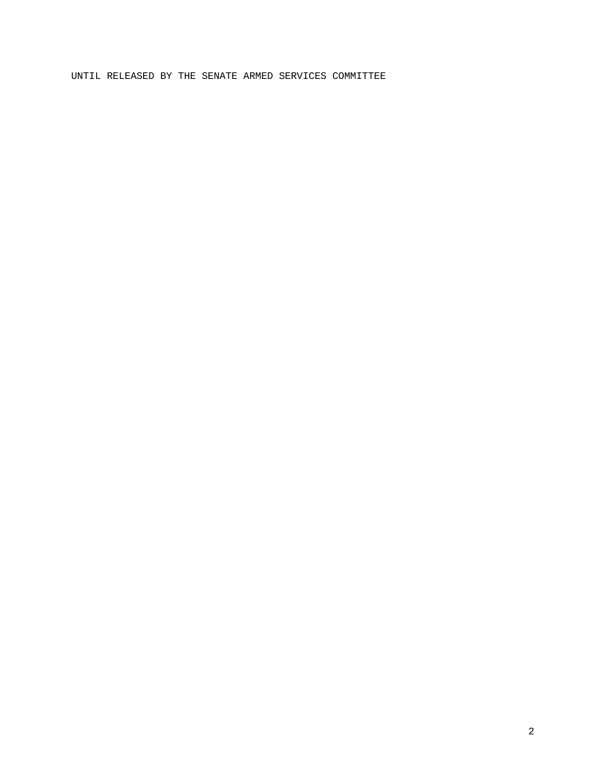# UNTIL RELEASED BY THE SENATE ARMED SERVICES COMMITTEE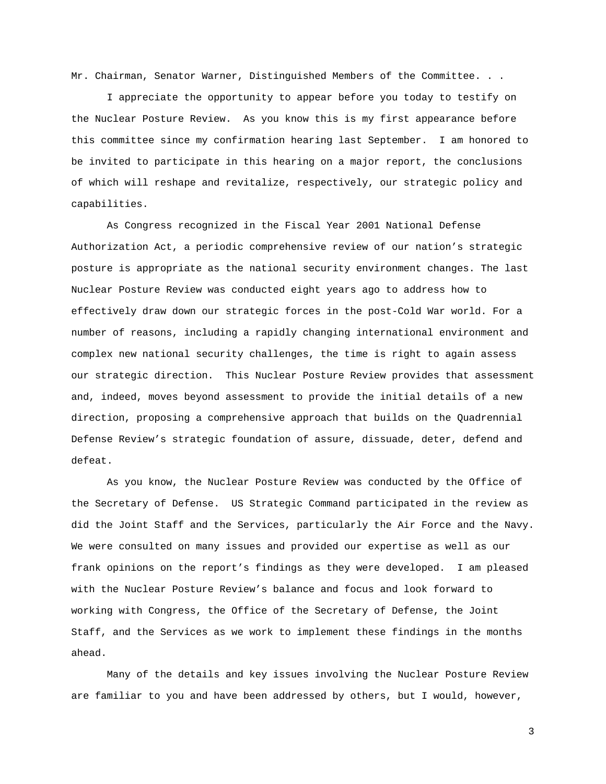Mr. Chairman, Senator Warner, Distinguished Members of the Committee. . .

I appreciate the opportunity to appear before you today to testify on the Nuclear Posture Review. As you know this is my first appearance before this committee since my confirmation hearing last September. I am honored to be invited to participate in this hearing on a major report, the conclusions of which will reshape and revitalize, respectively, our strategic policy and capabilities.

As Congress recognized in the Fiscal Year 2001 National Defense Authorization Act, a periodic comprehensive review of our nation's strategic posture is appropriate as the national security environment changes. The last Nuclear Posture Review was conducted eight years ago to address how to effectively draw down our strategic forces in the post-Cold War world. For a number of reasons, including a rapidly changing international environment and complex new national security challenges, the time is right to again assess our strategic direction. This Nuclear Posture Review provides that assessment and, indeed, moves beyond assessment to provide the initial details of a new direction, proposing a comprehensive approach that builds on the Quadrennial Defense Review's strategic foundation of assure, dissuade, deter, defend and defeat.

As you know, the Nuclear Posture Review was conducted by the Office of the Secretary of Defense. US Strategic Command participated in the review as did the Joint Staff and the Services, particularly the Air Force and the Navy. We were consulted on many issues and provided our expertise as well as our frank opinions on the report's findings as they were developed. I am pleased with the Nuclear Posture Review's balance and focus and look forward to working with Congress, the Office of the Secretary of Defense, the Joint Staff, and the Services as we work to implement these findings in the months ahead.

Many of the details and key issues involving the Nuclear Posture Review are familiar to you and have been addressed by others, but I would, however,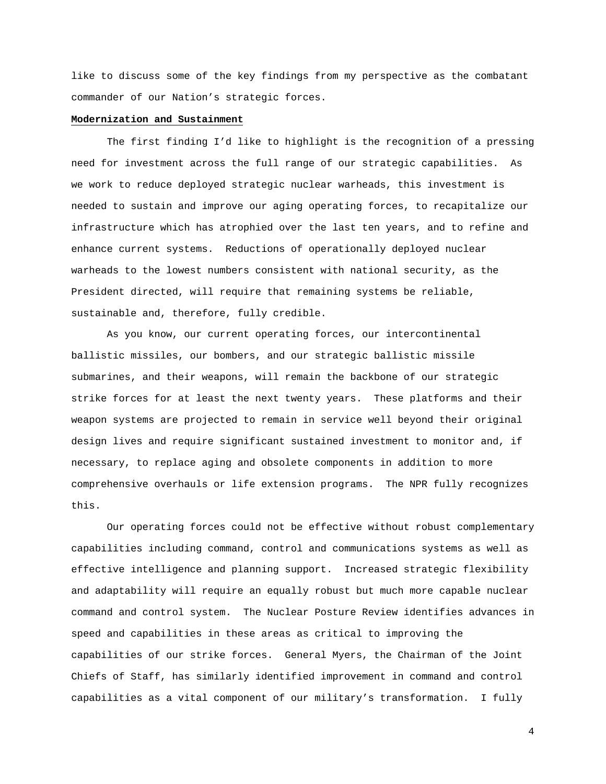like to discuss some of the key findings from my perspective as the combatant commander of our Nation's strategic forces.

#### **Modernization and Sustainment**

The first finding I'd like to highlight is the recognition of a pressing need for investment across the full range of our strategic capabilities. As we work to reduce deployed strategic nuclear warheads, this investment is needed to sustain and improve our aging operating forces, to recapitalize our infrastructure which has atrophied over the last ten years, and to refine and enhance current systems. Reductions of operationally deployed nuclear warheads to the lowest numbers consistent with national security, as the President directed, will require that remaining systems be reliable, sustainable and, therefore, fully credible.

As you know, our current operating forces, our intercontinental ballistic missiles, our bombers, and our strategic ballistic missile submarines, and their weapons, will remain the backbone of our strategic strike forces for at least the next twenty years. These platforms and their weapon systems are projected to remain in service well beyond their original design lives and require significant sustained investment to monitor and, if necessary, to replace aging and obsolete components in addition to more comprehensive overhauls or life extension programs. The NPR fully recognizes this.

Our operating forces could not be effective without robust complementary capabilities including command, control and communications systems as well as effective intelligence and planning support. Increased strategic flexibility and adaptability will require an equally robust but much more capable nuclear command and control system. The Nuclear Posture Review identifies advances in speed and capabilities in these areas as critical to improving the capabilities of our strike forces. General Myers, the Chairman of the Joint Chiefs of Staff, has similarly identified improvement in command and control capabilities as a vital component of our military's transformation. I fully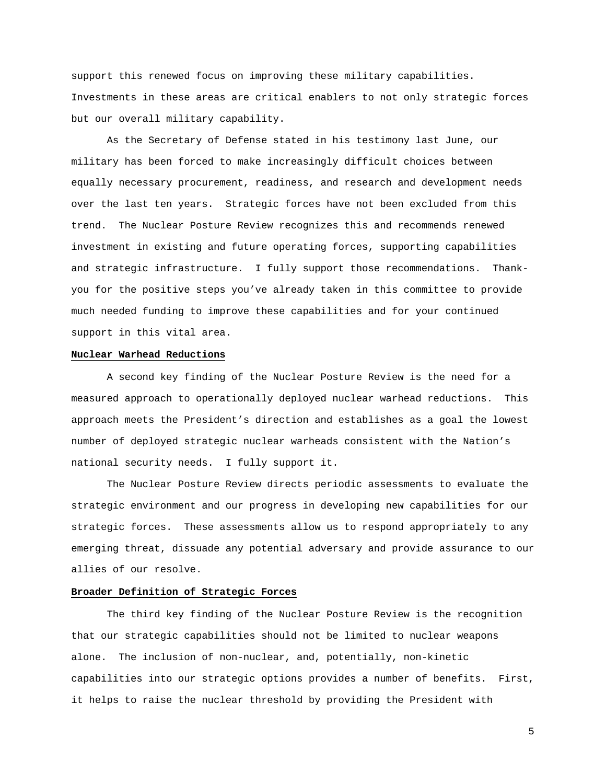support this renewed focus on improving these military capabilities. Investments in these areas are critical enablers to not only strategic forces but our overall military capability.

As the Secretary of Defense stated in his testimony last June, our military has been forced to make increasingly difficult choices between equally necessary procurement, readiness, and research and development needs over the last ten years. Strategic forces have not been excluded from this trend. The Nuclear Posture Review recognizes this and recommends renewed investment in existing and future operating forces, supporting capabilities and strategic infrastructure. I fully support those recommendations. Thankyou for the positive steps you've already taken in this committee to provide much needed funding to improve these capabilities and for your continued support in this vital area.

### **Nuclear Warhead Reductions**

A second key finding of the Nuclear Posture Review is the need for a measured approach to operationally deployed nuclear warhead reductions. This approach meets the President's direction and establishes as a goal the lowest number of deployed strategic nuclear warheads consistent with the Nation's national security needs. I fully support it.

The Nuclear Posture Review directs periodic assessments to evaluate the strategic environment and our progress in developing new capabilities for our strategic forces. These assessments allow us to respond appropriately to any emerging threat, dissuade any potential adversary and provide assurance to our allies of our resolve.

### **Broader Definition of Strategic Forces**

The third key finding of the Nuclear Posture Review is the recognition that our strategic capabilities should not be limited to nuclear weapons alone. The inclusion of non-nuclear, and, potentially, non-kinetic capabilities into our strategic options provides a number of benefits. First, it helps to raise the nuclear threshold by providing the President with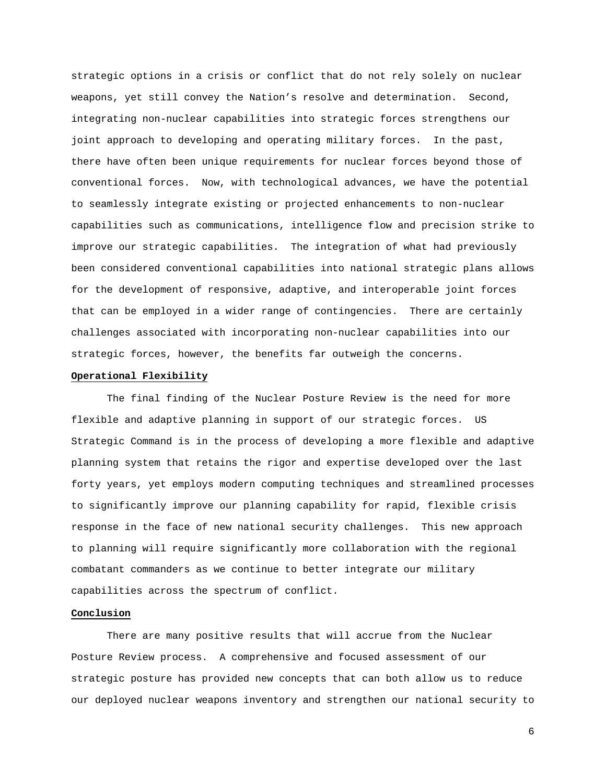strategic options in a crisis or conflict that do not rely solely on nuclear weapons, yet still convey the Nation's resolve and determination. Second, integrating non-nuclear capabilities into strategic forces strengthens our joint approach to developing and operating military forces. In the past, there have often been unique requirements for nuclear forces beyond those of conventional forces. Now, with technological advances, we have the potential to seamlessly integrate existing or projected enhancements to non-nuclear capabilities such as communications, intelligence flow and precision strike to improve our strategic capabilities. The integration of what had previously been considered conventional capabilities into national strategic plans allows for the development of responsive, adaptive, and interoperable joint forces that can be employed in a wider range of contingencies. There are certainly challenges associated with incorporating non-nuclear capabilities into our strategic forces, however, the benefits far outweigh the concerns.

## **Operational Flexibility**

The final finding of the Nuclear Posture Review is the need for more flexible and adaptive planning in support of our strategic forces. US Strategic Command is in the process of developing a more flexible and adaptive planning system that retains the rigor and expertise developed over the last forty years, yet employs modern computing techniques and streamlined processes to significantly improve our planning capability for rapid, flexible crisis response in the face of new national security challenges. This new approach to planning will require significantly more collaboration with the regional combatant commanders as we continue to better integrate our military capabilities across the spectrum of conflict.

#### **Conclusion**

There are many positive results that will accrue from the Nuclear Posture Review process. A comprehensive and focused assessment of our strategic posture has provided new concepts that can both allow us to reduce our deployed nuclear weapons inventory and strengthen our national security to